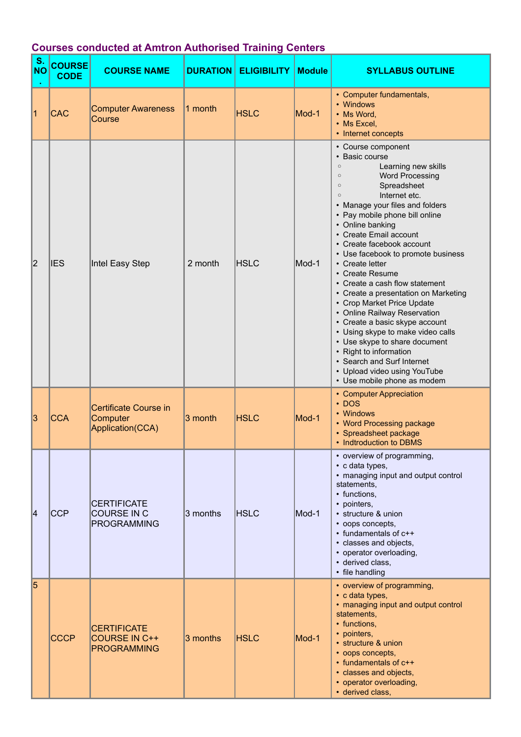| S.<br><b>NO</b> | <b>COURSE</b><br><b>CODE</b> | <b>COURSE NAME</b>                                               |          | <b>DURATION ELIGIBILITY</b> | <b>Module</b> | <b>SYLLABUS OUTLINE</b>                                                                                                                                                                                                                                                                                                                                                                                                                                                                                                                                                                                                                                                                                                                                               |
|-----------------|------------------------------|------------------------------------------------------------------|----------|-----------------------------|---------------|-----------------------------------------------------------------------------------------------------------------------------------------------------------------------------------------------------------------------------------------------------------------------------------------------------------------------------------------------------------------------------------------------------------------------------------------------------------------------------------------------------------------------------------------------------------------------------------------------------------------------------------------------------------------------------------------------------------------------------------------------------------------------|
| 1               | <b>CAC</b>                   | <b>Computer Awareness</b><br>Course                              | 1 month  | <b>HSLC</b>                 | Mod-1         | • Computer fundamentals,<br>• Windows<br>• Ms Word,<br>• Ms Excel,<br>• Internet concepts                                                                                                                                                                                                                                                                                                                                                                                                                                                                                                                                                                                                                                                                             |
| 2               | <b>IES</b>                   | Intel Easy Step                                                  | 2 month  | <b>HSLC</b>                 | Mod-1         | • Course component<br>• Basic course<br>Learning new skills<br>$\circ$<br><b>Word Processing</b><br>$\circ$<br>Spreadsheet<br>$\circ$<br>Internet etc.<br>$\Omega$<br>• Manage your files and folders<br>• Pay mobile phone bill online<br>• Online banking<br>• Create Email account<br>• Create facebook account<br>• Use facebook to promote business<br>• Create letter<br>• Create Resume<br>• Create a cash flow statement<br>• Create a presentation on Marketing<br>• Crop Market Price Update<br>• Online Railway Reservation<br>• Create a basic skype account<br>• Using skype to make video calls<br>• Use skype to share document<br>• Right to information<br>• Search and Surf Internet<br>• Upload video using YouTube<br>• Use mobile phone as modem |
| 3               | <b>CCA</b>                   | Certificate Course in<br>Computer<br>Application(CCA)            | 3 month  | <b>HSLC</b>                 | Mod-1         | • Computer Appreciation<br>$\cdot$ DOS<br>• Windows<br>• Word Processing package<br>• Spreadsheet package<br>• Indtroduction to DBMS                                                                                                                                                                                                                                                                                                                                                                                                                                                                                                                                                                                                                                  |
| 14              | <b>CCP</b>                   | <b>CERTIFICATE</b><br><b>COURSE IN C</b><br><b>PROGRAMMING</b>   | 3 months | <b>HSLC</b>                 | Mod-1         | • overview of programming,<br>• c data types,<br>• managing input and output control<br>statements,<br>• functions,<br>• pointers,<br>· structure & union<br>• oops concepts,<br>• fundamentals of c++<br>• classes and objects,<br>• operator overloading,<br>· derived class,<br>• file handling                                                                                                                                                                                                                                                                                                                                                                                                                                                                    |
| 5               | <b>CCCP</b>                  | <b>CERTIFICATE</b><br><b>COURSE IN C++</b><br><b>PROGRAMMING</b> | 3 months | <b>HSLC</b>                 | Mod-1         | • overview of programming,<br>• c data types,<br>• managing input and output control<br>statements,<br>• functions,<br>• pointers,<br>· structure & union<br>• oops concepts,<br>• fundamentals of c++<br>· classes and objects,<br>• operator overloading,<br>· derived class,                                                                                                                                                                                                                                                                                                                                                                                                                                                                                       |

## **Courses conducted at Amtron Authorised Training Centers**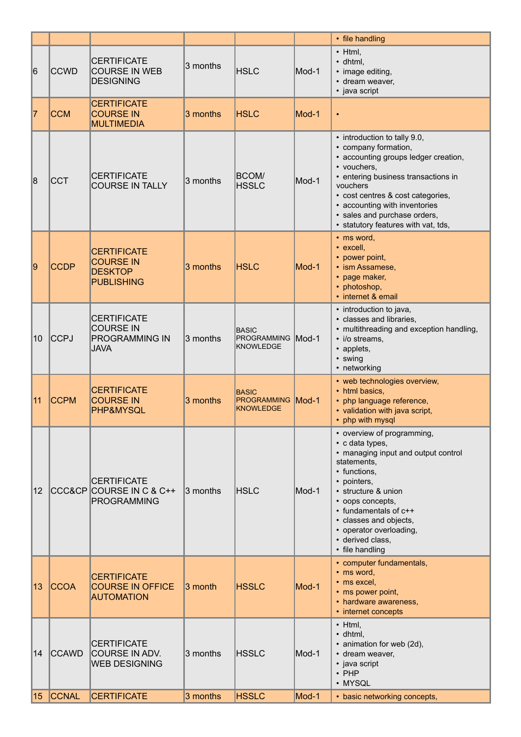|              |              |                                                                                |          |                                                              |       | • file handling                                                                                                                                                                                                                                                                                             |
|--------------|--------------|--------------------------------------------------------------------------------|----------|--------------------------------------------------------------|-------|-------------------------------------------------------------------------------------------------------------------------------------------------------------------------------------------------------------------------------------------------------------------------------------------------------------|
| 16           | <b>CCWD</b>  | <b>CERTIFICATE</b><br><b>COURSE IN WEB</b><br><b>DESIGNING</b>                 | 3 months | <b>HSLC</b>                                                  | Mod-1 | $\bullet$ Html,<br>$\cdot$ dhtml,<br>• image editing,<br>• dream weaver,<br>• java script                                                                                                                                                                                                                   |
| 17           | <b>CCM</b>   | <b>CERTIFICATE</b><br><b>COURSE IN</b><br><b>MULTIMEDIA</b>                    | 3 months | <b>HSLC</b>                                                  | Mod-1 | $\bullet$                                                                                                                                                                                                                                                                                                   |
| 8            | <b>CCT</b>   | <b>CERTIFICATE</b><br><b>COURSE IN TALLY</b>                                   | 3 months | BCOM/<br><b>HSSLC</b>                                        | Mod-1 | • introduction to tally 9.0,<br>• company formation,<br>• accounting groups ledger creation,<br>• vouchers,<br>• entering business transactions in<br>vouchers<br>• cost centres & cost categories,<br>• accounting with inventories<br>· sales and purchase orders,<br>• statutory features with vat, tds, |
| 9            | <b>CCDP</b>  | <b>CERTIFICATE</b><br><b>COURSE IN</b><br><b>DESKTOP</b><br><b>PUBLISHING</b>  | 3 months | <b>HSLC</b>                                                  | Mod-1 | • ms word,<br>• excell,<br>• power point,<br>• ism Assamese,<br>• page maker,<br>• photoshop,<br>• internet & email                                                                                                                                                                                         |
| 10           | CCPJ         | <b>CERTIFICATE</b><br><b>COURSE IN</b><br><b>PROGRAMMING IN</b><br><b>JAVA</b> | 3 months | <b>BASIC</b><br>PROGRAMMING Mod-1<br><b>KNOWLEDGE</b>        |       | • introduction to java,<br>· classes and libraries,<br>• multithreading and exception handling,<br>· i/o streams,<br>• applets,<br>· swing<br>• networking                                                                                                                                                  |
| 11           | <b>CCPM</b>  | <b>CERTIFICATE</b><br><b>COURSE IN</b><br>PHP&MYSQL                            | 3 months | <b>BASIC</b><br><b>PROGRAMMING Mod-1</b><br><b>KNOWLEDGE</b> |       | • web technologies overview,<br>• html basics,<br>• php language reference,<br>• validation with java script,<br>• php with mysql                                                                                                                                                                           |
| $ 12\rangle$ |              | <b>CERTIFICATE</b><br>CCC&CP COURSE IN C & C++<br>PROGRAMMING                  | 3 months | <b>HSLC</b>                                                  | Mod-1 | • overview of programming,<br>• c data types,<br>• managing input and output control<br>statements,<br>• functions,<br>• pointers,<br>· structure & union<br>• oops concepts,<br>• fundamentals of c++<br>• classes and objects,<br>• operator overloading,<br>• derived class,<br>• file handling          |
| 13           | <b>CCOA</b>  | <b>CERTIFICATE</b><br><b>COURSE IN OFFICE</b><br><b>AUTOMATION</b>             | 3 month  | <b>HSSLC</b>                                                 | Mod-1 | • computer fundamentals,<br>• ms word,<br>• ms excel,<br>• ms power point,<br>• hardware awareness,<br>• internet concepts                                                                                                                                                                                  |
| $ 14\rangle$ | <b>CCAWD</b> | <b>CERTIFICATE</b><br><b>COURSE IN ADV.</b><br><b>WEB DESIGNING</b>            | 3 months | <b>HSSLC</b>                                                 | Mod-1 | $\cdot$ Html,<br>$\cdot$ dhtml,<br>• animation for web (2d),<br>• dream weaver,<br>• java script<br>$\cdot$ PHP<br>• MYSQL                                                                                                                                                                                  |
| 15           | <b>CCNAL</b> | <b>CERTIFICATE</b>                                                             | 3 months | <b>HSSLC</b>                                                 | Mod-1 | • basic networking concepts,                                                                                                                                                                                                                                                                                |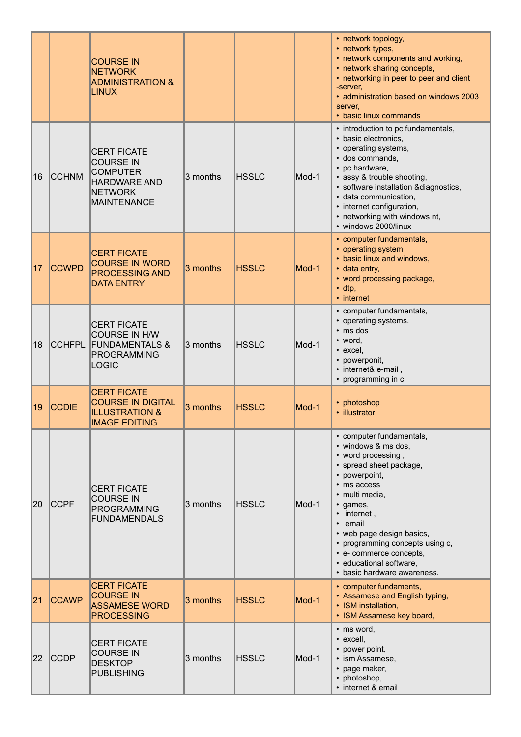|    |               | <b>COURSE IN</b><br><b>NETWORK</b><br><b>ADMINISTRATION &amp;</b><br><b>LINUX</b>                                        |          |              |       | • network topology,<br>• network types,<br>• network components and working,<br>• network sharing concepts,<br>• networking in peer to peer and client<br>-server,<br>• administration based on windows 2003<br>server,<br>• basic linux commands                                                                                                     |
|----|---------------|--------------------------------------------------------------------------------------------------------------------------|----------|--------------|-------|-------------------------------------------------------------------------------------------------------------------------------------------------------------------------------------------------------------------------------------------------------------------------------------------------------------------------------------------------------|
| 16 | <b>CCHNM</b>  | <b>CERTIFICATE</b><br><b>COURSE IN</b><br><b>COMPUTER</b><br><b>HARDWARE AND</b><br><b>NETWORK</b><br><b>MAINTENANCE</b> | 3 months | <b>HSSLC</b> | Mod-1 | • introduction to pc fundamentals,<br>• basic electronics,<br>• operating systems,<br>· dos commands,<br>• pc hardware,<br>• assy & trouble shooting,<br>· software installation &diagnostics,<br>· data communication,<br>• internet configuration,<br>• networking with windows nt,<br>· windows 2000/linux                                         |
| 17 | <b>CCWPD</b>  | <b>CERTIFICATE</b><br><b>COURSE IN WORD</b><br><b>PROCESSING AND</b><br><b>DATA ENTRY</b>                                | 3 months | <b>HSSLC</b> | Mod-1 | • computer fundamentals,<br>• operating system<br>• basic linux and windows,<br>• data entry,<br>• word processing package,<br>$\cdot$ dtp,<br>• internet                                                                                                                                                                                             |
| 18 | <b>CCHFPL</b> | <b>CERTIFICATE</b><br><b>COURSE IN H/W</b><br><b>FUNDAMENTALS &amp;</b><br>PROGRAMMING<br><b>LOGIC</b>                   | 3 months | <b>HSSLC</b> | Mod-1 | • computer fundamentals,<br>• operating systems.<br>$\cdot$ ms dos<br>• word,<br>• excel,<br>• powerponit,<br>• internet& e-mail,<br>• programming in c                                                                                                                                                                                               |
| 19 | <b>CCDIE</b>  | <b>CERTIFICATE</b><br><b>COURSE IN DIGITAL</b><br><b>ILLUSTRATION &amp;</b><br><b>IMAGE EDITING</b>                      | 3 months | <b>HSSLC</b> | Mod-1 | • photoshop<br>· illustrator                                                                                                                                                                                                                                                                                                                          |
| 20 | <b>CCPF</b>   | <b>CERTIFICATE</b><br><b>COURSE IN</b><br><b>PROGRAMMING</b><br><b>FUNDAMENDALS</b>                                      | 3 months | <b>HSSLC</b> | Mod-1 | • computer fundamentals,<br>• windows & ms dos,<br>• word processing,<br>• spread sheet package,<br>• powerpoint,<br>• ms access<br>• multi media,<br>· games,<br>$\bullet$ internet,<br>• email<br>• web page design basics,<br>• programming concepts using c,<br>• e- commerce concepts,<br>· educational software,<br>• basic hardware awareness. |
| 21 | <b>CCAWP</b>  | <b>CERTIFICATE</b><br><b>COURSE IN</b><br><b>ASSAMESE WORD</b><br><b>PROCESSING</b>                                      | 3 months | <b>HSSLC</b> | Mod-1 | • computer fundaments,<br>• Assamese and English typing,<br>• ISM installation,<br>• ISM Assamese key board,                                                                                                                                                                                                                                          |
| 22 | <b>CCDP</b>   | <b>CERTIFICATE</b><br><b>COURSE IN</b><br><b>DESKTOP</b><br><b>PUBLISHING</b>                                            | 3 months | <b>HSSLC</b> | Mod-1 | • ms word,<br>· excell,<br>• power point,<br>· ism Assamese,<br>• page maker,<br>• photoshop,<br>• internet & email                                                                                                                                                                                                                                   |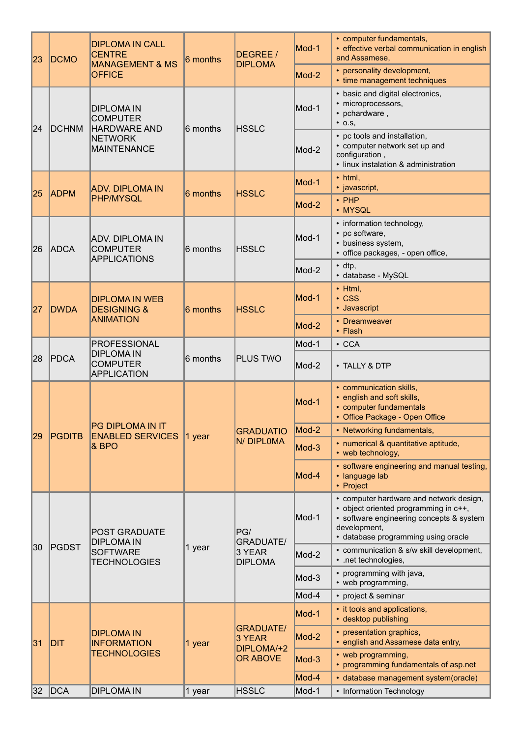| 23 | <b>DCMO</b>   | <b>DIPLOMA IN CALL</b><br><b>CENTRE</b><br><b>MANAGEMENT &amp; MS</b><br><b>OFFICE</b>              | 6 months | DEGREE /<br><b>DIPLOMA</b>                           | Mod-1 | • computer fundamentals,<br>· effective verbal communication in english<br>and Assamese,                                                                                            |
|----|---------------|-----------------------------------------------------------------------------------------------------|----------|------------------------------------------------------|-------|-------------------------------------------------------------------------------------------------------------------------------------------------------------------------------------|
|    |               |                                                                                                     |          |                                                      | Mod-2 | • personality development,<br>• time management techniques                                                                                                                          |
| 24 | <b>DCHNM</b>  | <b>DIPLOMA IN</b><br><b>COMPUTER</b><br><b>HARDWARE AND</b><br><b>NETWORK</b><br><b>MAINTENANCE</b> | 6 months | <b>HSSLC</b>                                         | Mod-1 | • basic and digital electronics,<br>· microprocessors,<br>• pchardware,<br>$\cdot$ 0.S,                                                                                             |
|    |               |                                                                                                     |          |                                                      | Mod-2 | • pc tools and installation,<br>• computer network set up and<br>configuration,<br>· linux instalation & administration                                                             |
| 25 |               | <b>ADV. DIPLOMA IN</b>                                                                              |          |                                                      | Mod-1 | $\cdot$ html,<br>· javascript,                                                                                                                                                      |
|    | <b>ADPM</b>   | <b>PHP/MYSQL</b>                                                                                    | 6 months | <b>HSSLC</b>                                         | Mod-2 | $\cdot$ PHP<br>• MYSQL                                                                                                                                                              |
| 26 | <b>ADCA</b>   | ADV. DIPLOMA IN<br><b>COMPUTER</b><br><b>APPLICATIONS</b>                                           | 6 months | <b>HSSLC</b>                                         | Mod-1 | • information technology,<br>• pc software,<br>• business system,<br>• office packages, - open office,                                                                              |
|    |               |                                                                                                     |          |                                                      | Mod-2 | $\cdot$ dtp,<br>· database - MySQL                                                                                                                                                  |
| 27 | <b>DWDA</b>   | <b>DIPLOMA IN WEB</b><br><b>DESIGNING &amp;</b><br><b>ANIMATION</b>                                 | 6 months | <b>HSSLC</b>                                         | Mod-1 | $\cdot$ Html,<br>$\cdot$ CSS<br>• Javascript                                                                                                                                        |
|    |               |                                                                                                     |          |                                                      | Mod-2 | • Dreamweaver<br>• Flash                                                                                                                                                            |
|    |               | <b>PROFESSIONAL</b>                                                                                 |          |                                                      | Mod-1 | $\cdot$ CCA                                                                                                                                                                         |
| 28 | PDCA          | <b>DIPLOMA IN</b><br><b>COMPUTER</b><br><b>APPLICATION</b>                                          | 6 months | <b>PLUS TWO</b>                                      | Mod-2 | • TALLY & DTP                                                                                                                                                                       |
|    | <b>PGDITB</b> | PG DIPLOMA IN IT<br><b>ENABLED SERVICES</b><br>& BPO                                                | 1 year   | <b>GRADUATIO</b><br>N/DIPLOMA                        | Mod-1 | • communication skills,<br>• english and soft skills,<br>• computer fundamentals<br>• Office Package - Open Office                                                                  |
| 29 |               |                                                                                                     |          |                                                      | Mod-2 | • Networking fundamentals,                                                                                                                                                          |
|    |               |                                                                                                     |          |                                                      | Mod-3 | • numerical & quantitative aptitude,<br>• web technology,                                                                                                                           |
|    |               |                                                                                                     |          |                                                      | Mod-4 | • software engineering and manual testing,<br>· language lab<br>• Project                                                                                                           |
|    | PGDST         | <b>POST GRADUATE</b><br><b>DIPLOMA IN</b><br><b>SOFTWARE</b><br><b>TECHNOLOGIES</b>                 | 1 year   | PG/<br><b>GRADUATE/</b><br>3 YEAR<br><b>DIPLOMA</b>  | Mod-1 | • computer hardware and network design,<br>• object oriented programming in c++,<br>• software engineering concepts & system<br>development,<br>· database programming using oracle |
| 30 |               |                                                                                                     |          |                                                      | Mod-2 | • communication & s/w skill development,<br>• .net technologies,                                                                                                                    |
|    |               |                                                                                                     |          |                                                      | Mod-3 | • programming with java,<br>• web programming,                                                                                                                                      |
|    |               |                                                                                                     |          |                                                      | Mod-4 | • project & seminar                                                                                                                                                                 |
|    | DIT           | <b>DIPLOMA IN</b><br><b>INFORMATION</b><br><b>TECHNOLOGIES</b>                                      | 1 year   | <b>GRADUATE/</b><br>3 YEAR<br>DIPLOMA/+2<br>OR ABOVE | Mod-1 | • it tools and applications,<br>• desktop publishing                                                                                                                                |
| 31 |               |                                                                                                     |          |                                                      | Mod-2 | • presentation graphics,<br>• english and Assamese data entry,                                                                                                                      |
|    |               |                                                                                                     |          |                                                      | Mod-3 | • web programming,<br>• programming fundamentals of asp.net                                                                                                                         |
|    |               |                                                                                                     |          |                                                      | Mod-4 | · database management system(oracle)                                                                                                                                                |
| 32 | DCA           | <b>DIPLOMA IN</b>                                                                                   | 1 year   | <b>HSSLC</b>                                         | Mod-1 | • Information Technology                                                                                                                                                            |